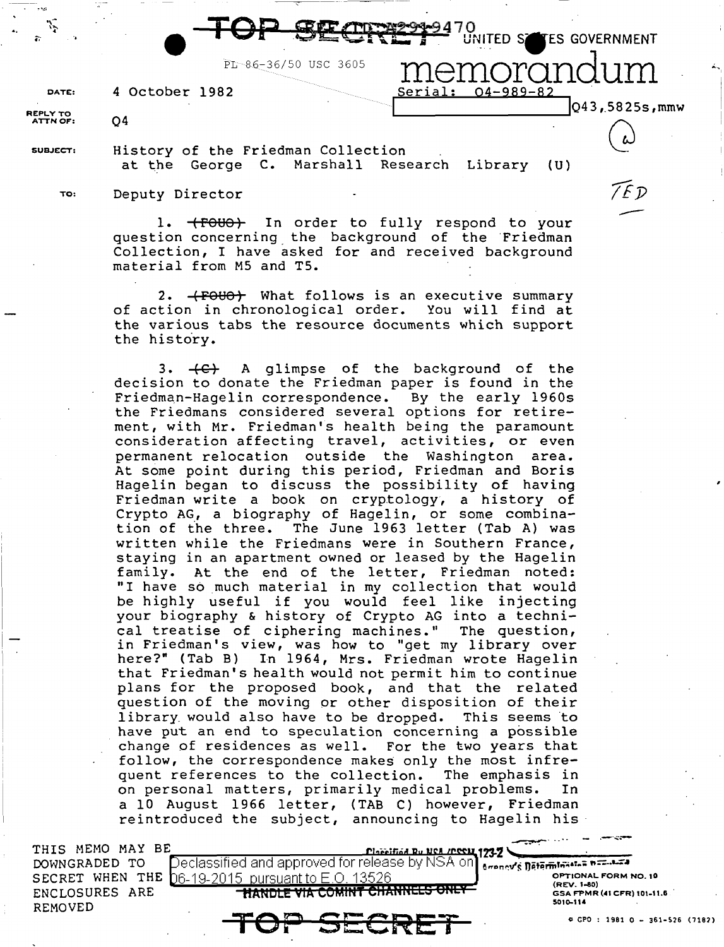|          |                                            | <b>SECRES</b> UNITED SETES GOVERNMENT |
|----------|--------------------------------------------|---------------------------------------|
|          | PL-86-36/50 USC 3605                       | 10randum                              |
| DATE:    | 4 October 1982                             | Serial: 04-989-82                     |
| REPLY TO |                                            | [Q43, 5825s, mmw]                     |
| ATTN OF: | Q4                                         |                                       |
| SUBJECT: | History of the Friedman Collection         |                                       |
|          | at the George C. Marshall Research Library | (U)                                   |
|          |                                            | ה ד                                   |
| TO:      | Deputy Director                            |                                       |

1. (FOUO) In order to fully respond to your question concerning the background of the Friedman Collection, I have asked for and received background material from MS and TS.

2. **(FOUO)** What follows is an executive summary of action in chronological order. You will find at the various tabs the resource documents which support the history.

3.  $\leftarrow$  A glimpse of the background of the decision to donate the Friedman paper is found in the Friedman-Hagelin correspondence. By the early 1960s the Friedmans considered several options for retirement, with Mr. Friedman's health being the paramount consideration affecting travel, activities, or even permanent relocation outside the Washington area. At some point during this period, Friedman and Boris Hagelin began to discuss the possibility of having Friedman write a book on cryptology, a history of Crypto AG, a biography of Hagelin, or some combination of ihe three. The June 1963 letter (Tab A) was written while the Friedmans were in Southern France, staying in an apartment owned or leased by the Hagelin family. At the end of the letter, Friedman noted: "I have so much material in my collection that would be highly useful if you would feel like injecting your biography & history of Crypto AG into a technical treatise of ciphering machines." The question, in Friedman's view, was how to "get my library over here?" (Tab B) In 1964, Mrs. Friedman wrote Hagelin that Friedman's health would not permit him to continue plans for the proposed book, and that the related question of the moving or other disposition of their library would also have to be dropped. This seems to have put an end to speculation concerning a possible change of residences as well. For the two years that follow, the correspondence makes only the most infre-<br>quent references to the collection. The emphasis in quent references to the collection. on personal matters, primarily medical problems. In a 10 August 1966 letter, (TAB C) however, Friedman reintroduced the subject, announcing to Hagelin his

THIS MEMO MAY BE DOWNGRADED TO ENCLOSURES ARE REMOVED

'.

 $\vert$   $-$ 1 .

. ·-~·

SECRET WHEN THE  $06-19-2015$  pursuant to  $E.O. 13526$  frace the second to  $F_{\text{GPEV}}$  is the second to  $\epsilon$ ;<br>Declassified and approved for release by NSA on <sub>scena</sub>v's <del>nataminates best.ex</del>e<br>he is on the nureulant to E ∩ in 13526

(REV. 1-80)<br>GSA FPMR (41 CFR) 101-11.6 5010-114

*.-·...:::--*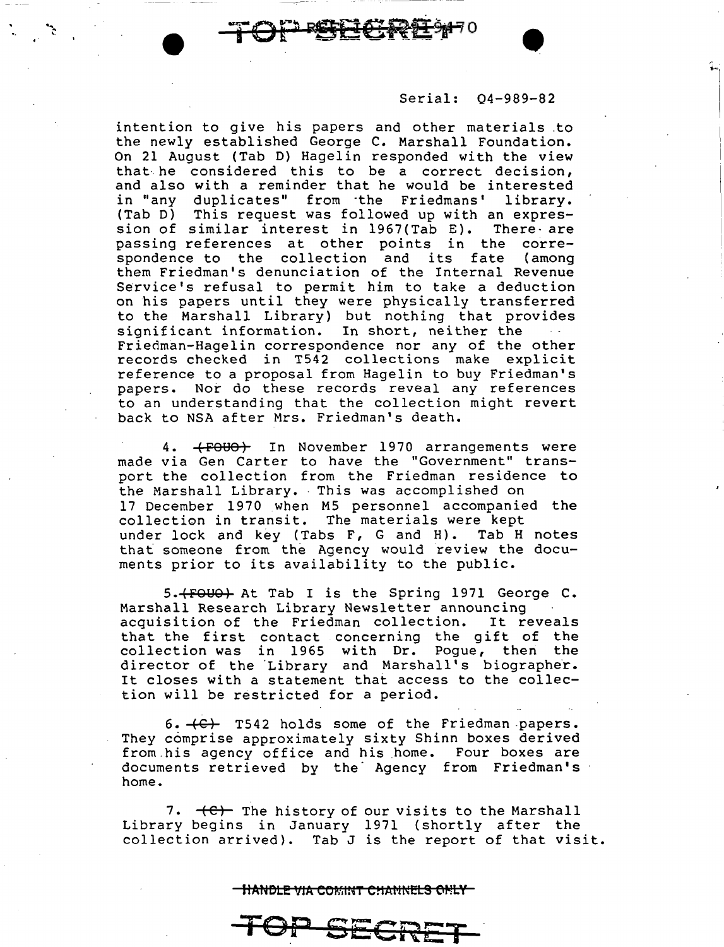, . .....

intention to give his papers and other materials .to the newly established George C. Marshall Foundation. On 21 August (Tab D) Hagelin responded with the view that· he considered this to be a correct decision, and also with a reminder that he would be interested in "any duplicates" from ·the Friedmans' library. (Tab D) This request was followed up with an expression of similar interest in 1967(Tab E). There- are passing references at other points in the correspondence to the collection and its fate (among them Friedman's denunciation of the Internal Revenue Service's refusal to permit him to take a deduction on his papers until they were physically transferred to the Marshall Library) but nothing that provides significant information. In short, neither the Friedman-Hagelin correspondence nor any of the other records checked in T542 collections make explicit reference to a proposal from Hagelin to buy Friedman's papers. Nor do these records reveal any references to an understanding that the collection might revert back to NSA after Mrs. Friedman's death.

 $\mathcal{L}$ 

4. **(FOUO)** In November 1970 arrangements were made via Gen Carter to have the "Government" transport the collection from the Friedman residence to the Marshall Library. This was accomplished on 17 December 1970 when M5 personnel accompanied the collection in transit. The materials were kept under lock and key (Tabs F, G and H). Tab H notes that someone from the Agency would review the documents prior to its availability to the public.

5. (FOUO) At Tab I is the Spring 1971 George C. Marshall Research Library Newsletter announcing acquisition of the Friedman collection. It reveals dequisition of the fireuman correction. It reveals collection was in 1965 with Dr. Pogue, then the director of the Library and Marshall's biographer. It closes with a statement that access to the collection will be restricted for a period.

 $6. +C$  T542 holds some of the Friedman papers. They comprise approximately sixty Shinn boxes derived from.his agency office and his home. Four boxes are documents retrieved by the Agency from Friedman's home.

7.  $\leftarrow$  The history of our visits to the Marshall Library begins in January 1971 {shortly after the collection arrived). Tab J is the report of that visit.

## <u>TIANDLE VIA COMINT CHANNELS ONLY</u>

TOP SECRET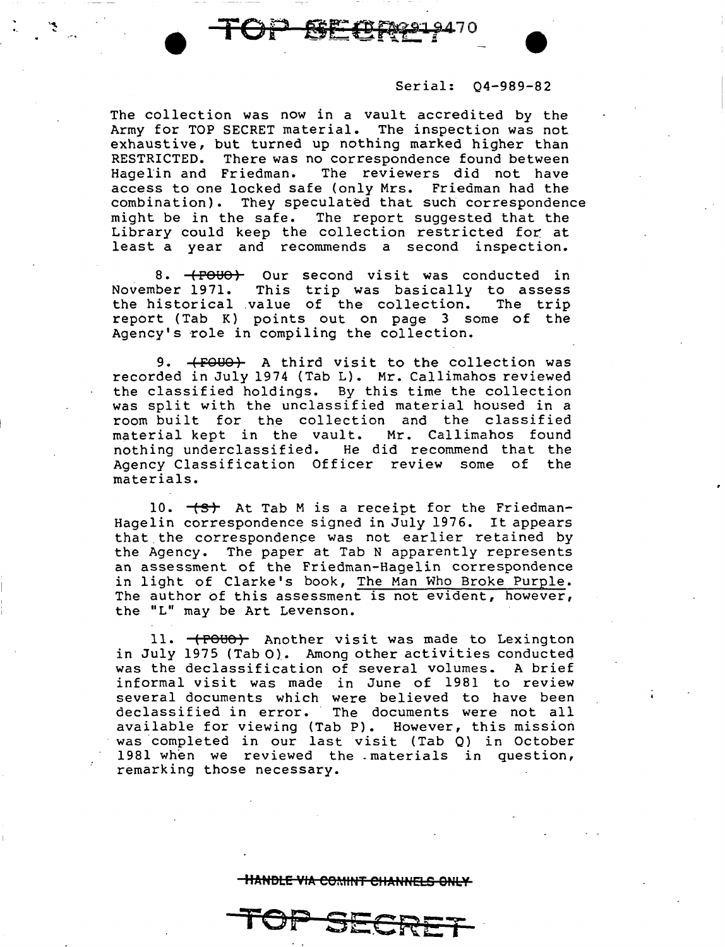The collection was now in a vault accredited by the Army for TOP SECRET material. The inspection was not exhaustive, but turned up nothing marked higher than<br>RESTRICTED. There was no correspondence found between RESTRICTED. There was no correspondence found between<br>Hagelin and Friedman. The reviewers did not have The reviewers did not have access to one locked safe (only Mrs. Friedman had the combination). They speculated that such corresponden They speculated that such correspondence might be in the safe. The report suggested that the Library could keep the collection restricted for at least a year and recommends a second inspection.

**TOP** 

8. (FOUO) Our second visit was conducted in<br>November 1971. This trip was basically to assess This trip was basically to assess<br>value of the collection. The trip the historical .value of the collection. report (Tab K) points out on page 3 some of the Agency's role in compiling the collection.

9. **(FOUO)** A third visit to the collection was recorded in July 1974 (Tab L). Mr. Callimahos reviewed the classified holdings. By this time the collection was split with the unclassified material housed in a room built for the collection and the classified material kept in the vault. Mr. Callimahos found<br>nothing underclassified. He did recommend that the He did recommend that the Agency Classification Officer review some of the materials.

10.  $\leftarrow$   $\leftarrow$  At Tab M is a receipt for the Friedman-Hagelin correspondence signed in July 1976. It appears that. the correspondence was not earlier retained by the Agency. The paper at Tab N apparently represents an assessment of the Friedman-Hagelin correspondence in light of Clarke's book, The Man Who Broke Purple. The author of this assessment is not evident, however, the "L" may be Art Levenson.

11. (POUO) Another visit was made to Lexington in July 1975 (Tab O). Among other activities conducted was the declassification of several volumes. A brief informal visit was made in June of 1981 to review several documents which were believed to have been declassified in error. The documents were not all available for viewing (Tab P). However, this mission was completed in our last visit (Tab Q) in October 1981 when we reviewed the -materials in question, remarking those necessary.

**HANDLE VIA COMINT CHANNELS ONLY** 

**TOP SE.CRET**